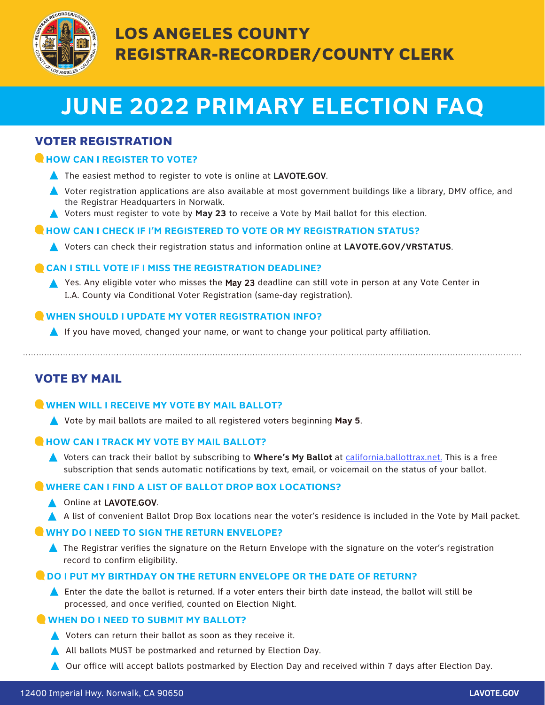

# **JUNE 2022 PRIMARY ELECTION FAQ**

# VOTER REGISTRATION

# **CHOW CAN I REGISTER TO VOTE?**

- ▲ The easiest method to register to vote is online at LAVOTE.GOV.
- ▲ Voter registration applications are also available at most government buildings like a library, DMV office, and the Registrar Headquarters in Norwalk.
- **A** Voters must register to vote by **May 23** to receive a Vote by Mail ballot for this election.

# **HOW CAN I CHECK IF I'M REGISTERED TO VOTE OR MY REGISTRATION STATUS?**

• Voters can check their registration status and information online at **LAVOTE.GOV/VRSTATUS**.

# **CAN I STILL VOTE IF I MISS THE REGISTRATION DEADLINE?**

**A** Yes. Any eligible voter who misses the May 23 deadline can still vote in person at any Vote Center in L.A. County via Conditional Voter Registration (same-day registration).

# **WHEN SHOULD I UPDATE MY VOTER REGISTRATION INFO?**

 $\blacktriangle$  If you have moved, changed your name, or want to change your political party affiliation.

# VOTE BY MAIL

### **WHEN WILL I RECEIVE MY VOTE BY MAIL BALLOT?**

• Vote by mail ballots are mailed to all registered voters beginning **May 5**.

### **HOW CAN I TRACK MY VOTE BY MAIL BALLOT?**

• Voters can track their ballot by subscribing to **Where's My Ballot** at california.ballottrax.net. This is a free subscription that sends automatic notifications by text, email, or voicemail on the status of your ballot.

# **WHERE CAN I FIND A LIST OF BALLOT DROP BOX LOCATIONS?**

### **A** Online at LAVOTE.GOV.

A list of convenient Ballot Drop Box locations near the voter's residence is included in the Vote by Mail packet.

### **WHY DO I NEED TO SIGN THE RETURN ENVELOPE?**

**A** The Registrar verifies the signature on the Return Envelope with the signature on the voter's registration record to confirm eligibility.

### **O DO I PUT MY BIRTHDAY ON THE RETURN ENVELOPE OR THE DATE OF RETURN?**

 $\blacktriangle$  Enter the date the ballot is returned. If a voter enters their birth date instead, the ballot will still be processed, and once verified, counted on Election Night.

# **WHEN DO I NEED TO SUBMIT MY BALLOT?**

- $\triangle$  Voters can return their ballot as soon as they receive it.
- A All ballots MUST be postmarked and returned by Election Day.
- **A** Our office will accept ballots postmarked by Election Day and received within 7 days after Election Day.